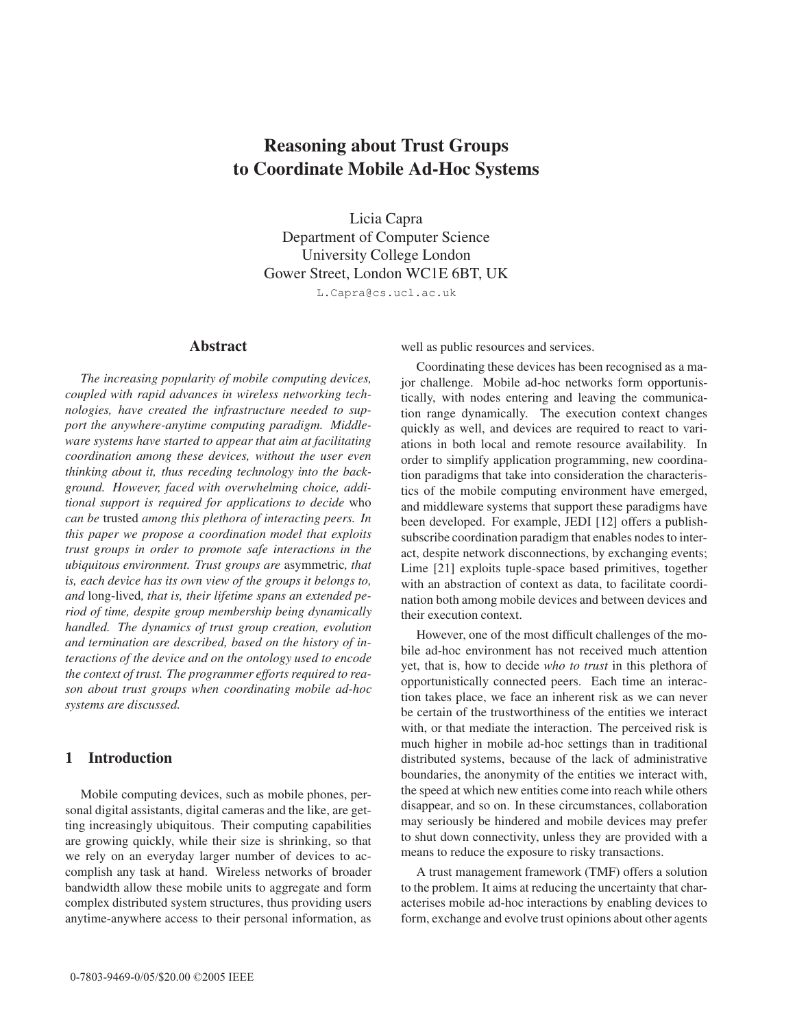# **Reasoning about Trust Groups to Coordinate Mobile Ad-Hoc Systems**

Licia Capra Department of Computer Science University College London Gower Street, London WC1E 6BT, UK

L.Capra@cs.ucl.ac.uk

#### **Abstract**

*The increasing popularity of mobile computing devices, coupled with rapid advances in wireless networking technologies, have created the infrastructure needed to support the anywhere-anytime computing paradigm. Middleware systems have started to appear that aim at facilitating coordination among these devices, without the user even thinking about it, thus receding technology into the background. However, faced with overwhelming choice, additional support is required for applications to decide* who *can be* trusted *among this plethora of interacting peers. In this paper we propose a coordination model that exploits trust groups in order to promote safe interactions in the ubiquitous environment. Trust groups are* asymmetric*, that is, each device has its own view of the groups it belongs to, and* long-lived*, that is, their lifetime spans an extended period of time, despite group membership being dynamically handled. The dynamics of trust group creation, evolution and termination are described, based on the history of interactions of the device and on the ontology used to encode the context of trust. The programmer efforts required to reason about trust groups when coordinating mobile ad-hoc systems are discussed.*

## **1 Introduction**

Mobile computing devices, such as mobile phones, personal digital assistants, digital cameras and the like, are getting increasingly ubiquitous. Their computing capabilities are growing quickly, while their size is shrinking, so that we rely on an everyday larger number of devices to accomplish any task at hand. Wireless networks of broader bandwidth allow these mobile units to aggregate and form complex distributed system structures, thus providing users anytime-anywhere access to their personal information, as

well as public resources and services.

Coordinating these devices has been recognised as a major challenge. Mobile ad-hoc networks form opportunistically, with nodes entering and leaving the communication range dynamically. The execution context changes quickly as well, and devices are required to react to variations in both local and remote resource availability. In order to simplify application programming, new coordination paradigms that take into consideration the characteristics of the mobile computing environment have emerged, and middleware systems that support these paradigms have been developed. For example, JEDI [12] offers a publishsubscribe coordination paradigm that enables nodes to interact, despite network disconnections, by exchanging events; Lime [21] exploits tuple-space based primitives, together with an abstraction of context as data, to facilitate coordination both among mobile devices and between devices and their execution context.

However, one of the most difficult challenges of the mobile ad-hoc environment has not received much attention yet, that is, how to decide *who to trust* in this plethora of opportunistically connected peers. Each time an interaction takes place, we face an inherent risk as we can never be certain of the trustworthiness of the entities we interact with, or that mediate the interaction. The perceived risk is much higher in mobile ad-hoc settings than in traditional distributed systems, because of the lack of administrative boundaries, the anonymity of the entities we interact with, the speed at which new entities come into reach while others disappear, and so on. In these circumstances, collaboration may seriously be hindered and mobile devices may prefer to shut down connectivity, unless they are provided with a means to reduce the exposure to risky transactions.

A trust management framework (TMF) offers a solution to the problem. It aims at reducing the uncertainty that characterises mobile ad-hoc interactions by enabling devices to form, exchange and evolve trust opinions about other agents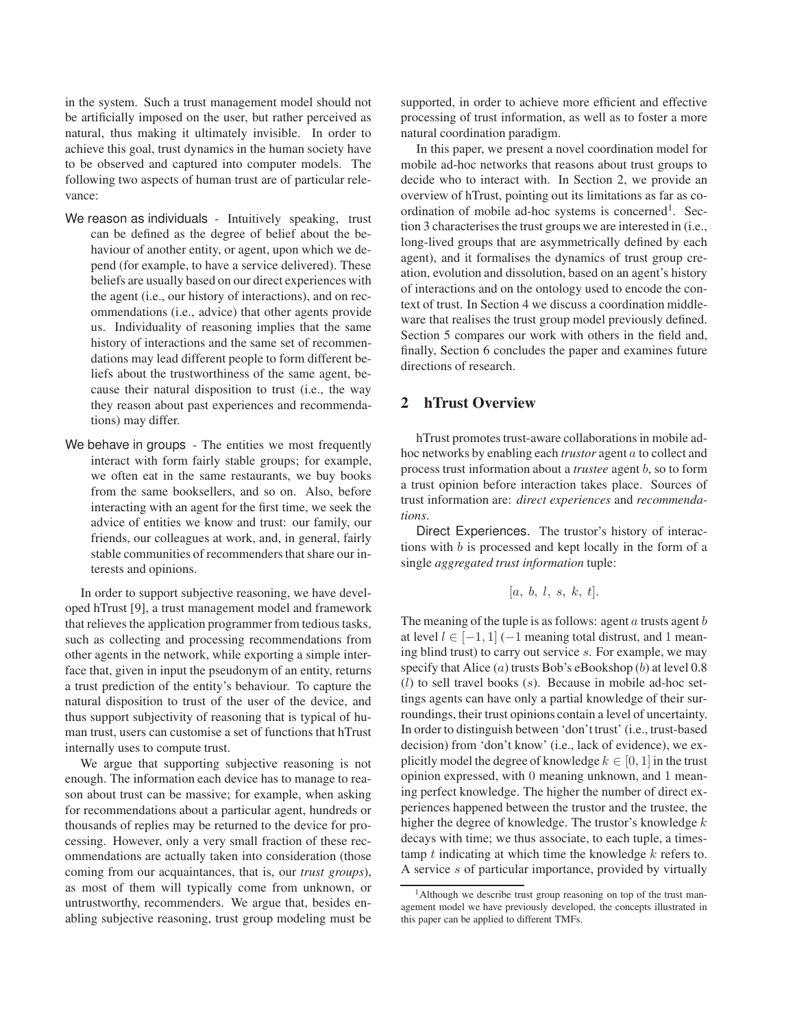in the system. Such a trust management model should not be artificially imposed on the user, but rather perceived as natural, thus making it ultimately invisible. In order to achieve this goal, trust dynamics in the human society have to be observed and captured into computer models. The following two aspects of human trust are of particular relevance:

- We reason as individuals Intuitively speaking, trust can be defined as the degree of belief about the behaviour of another entity, or agent, upon which we depend (for example, to have a service delivered). These beliefs are usually based on our direct experiences with the agent (i.e., our history of interactions), and on recommendations (i.e., advice) that other agents provide us. Individuality of reasoning implies that the same history of interactions and the same set of recommendations may lead different people to form different beliefs about the trustworthiness of the same agent, because their natural disposition to trust (i.e., the way they reason about past experiences and recommendations) may differ.
- We behave in groups The entities we most frequently interact with form fairly stable groups; for example, we often eat in the same restaurants, we buy books from the same booksellers, and so on. Also, before interacting with an agent for the first time, we seek the advice of entities we know and trust: our family, our friends, our colleagues at work, and, in general, fairly stable communities of recommenders that share our interests and opinions.

In order to support subjective reasoning, we have developed hTrust [9], a trust management model and framework that relieves the application programmer from tedious tasks, such as collecting and processing recommendations from other agents in the network, while exporting a simple interface that, given in input the pseudonym of an entity, returns a trust prediction of the entity's behaviour. To capture the natural disposition to trust of the user of the device, and thus support subjectivity of reasoning that is typical of human trust, users can customise a set of functions that hTrust internally uses to compute trust.

We argue that supporting subjective reasoning is not enough. The information each device has to manage to reason about trust can be massive; for example, when asking for recommendations about a particular agent, hundreds or thousands of replies may be returned to the device for processing. However, only a very small fraction of these recommendations are actually taken into consideration (those coming from our acquaintances, that is, our *trust groups*), as most of them will typically come from unknown, or untrustworthy, recommenders. We argue that, besides enabling subjective reasoning, trust group modeling must be supported, in order to achieve more efficient and effective processing of trust information, as well as to foster a more natural coordination paradigm.

In this paper, we present a novel coordination model for mobile ad-hoc networks that reasons about trust groups to decide who to interact with. In Section 2, we provide an overview of hTrust, pointing out its limitations as far as coordination of mobile ad-hoc systems is concerned<sup>1</sup>. Section 3 characterises the trust groups we are interested in (i.e., long-lived groups that are asymmetrically defined by each agent), and it formalises the dynamics of trust group creation, evolution and dissolution, based on an agent's history of interactions and on the ontology used to encode the context of trust. In Section 4 we discuss a coordination middleware that realises the trust group model previously defined. Section 5 compares our work with others in the field and, finally, Section 6 concludes the paper and examines future directions of research.

## **2 hTrust Overview**

hTrust promotes trust-aware collaborations in mobile adhoc networks by enabling each *trustor* agent a to collect and process trust information about a *trustee* agent b, so to form a trust opinion before interaction takes place. Sources of trust information are: *direct experiences* and *recommendations*.

Direct Experiences. The trustor's history of interactions with b is processed and kept locally in the form of a single *aggregated trust information* tuple:

$$
[a, b, l, s, k, t].
$$

The meaning of the tuple is as follows: agent  $a$  trusts agent  $b$ at level  $l \in [-1, 1]$  (−1 meaning total distrust, and 1 meaning blind trust) to carry out service s. For example, we may specify that Alice (a) trusts Bob's eBookshop (b) at level  $0.8$  $(l)$  to sell travel books  $(s)$ . Because in mobile ad-hoc settings agents can have only a partial knowledge of their surroundings, their trust opinions contain a level of uncertainty. In order to distinguish between 'don't trust' (i.e., trust-based decision) from 'don't know' (i.e., lack of evidence), we explicitly model the degree of knowledge  $k \in [0, 1]$  in the trust opinion expressed, with 0 meaning unknown, and 1 meaning perfect knowledge. The higher the number of direct experiences happened between the trustor and the trustee, the higher the degree of knowledge. The trustor's knowledge  $k$ decays with time; we thus associate, to each tuple, a timestamp  $t$  indicating at which time the knowledge  $k$  refers to. A service s of particular importance, provided by virtually

<sup>&</sup>lt;sup>1</sup>Although we describe trust group reasoning on top of the trust management model we have previously developed, the concepts illustrated in this paper can be applied to different TMFs.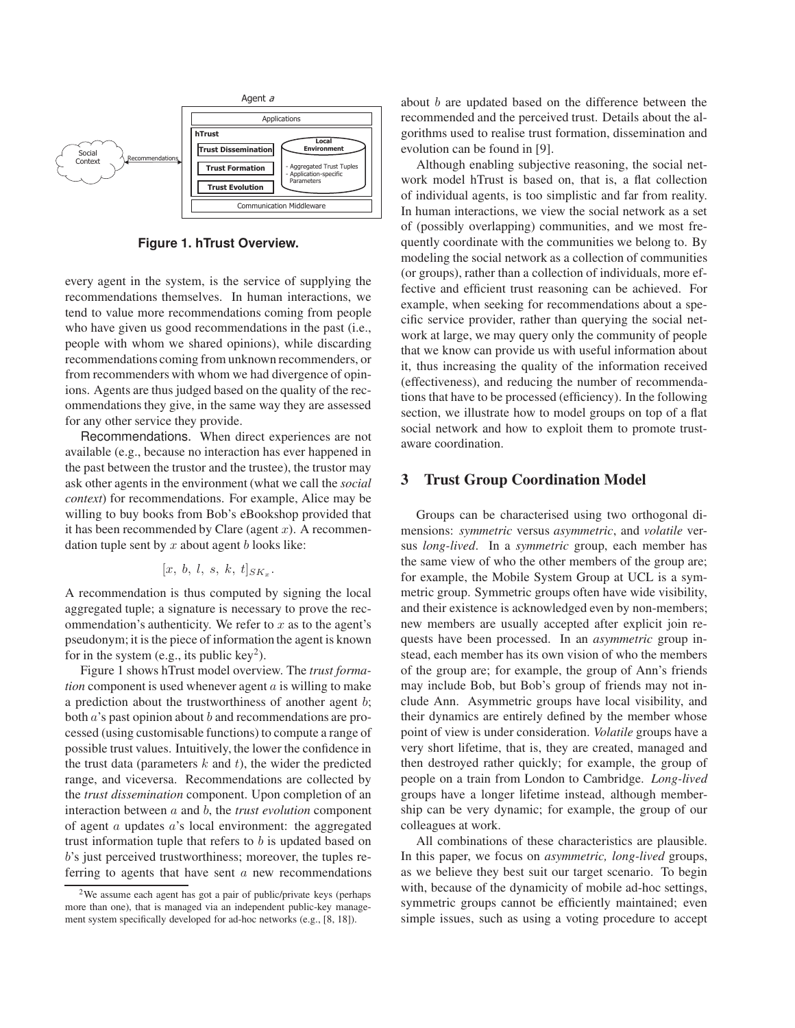

**Figure 1. hTrust Overview.**

every agent in the system, is the service of supplying the recommendations themselves. In human interactions, we tend to value more recommendations coming from people who have given us good recommendations in the past (i.e., people with whom we shared opinions), while discarding recommendations coming from unknown recommenders, or from recommenders with whom we had divergence of opinions. Agents are thus judged based on the quality of the recommendations they give, in the same way they are assessed for any other service they provide.

Recommendations. When direct experiences are not available (e.g., because no interaction has ever happened in the past between the trustor and the trustee), the trustor may ask other agents in the environment (what we call the *social context*) for recommendations. For example, Alice may be willing to buy books from Bob's eBookshop provided that it has been recommended by Clare (agent  $x$ ). A recommendation tuple sent by x about agent  $b$  looks like:

$$
[x, b, l, s, k, t]_{SK_x}.
$$

A recommendation is thus computed by signing the local aggregated tuple; a signature is necessary to prove the recommendation's authenticity. We refer to  $x$  as to the agent's pseudonym; it is the piece of information the agent is known for in the system (e.g., its public key<sup>2</sup>).

Figure 1 shows hTrust model overview. The *trust formation* component is used whenever agent a is willing to make a prediction about the trustworthiness of another agent b; both  $a$ 's past opinion about  $b$  and recommendations are processed (using customisable functions) to compute a range of possible trust values. Intuitively, the lower the confidence in the trust data (parameters  $k$  and  $t$ ), the wider the predicted range, and viceversa. Recommendations are collected by the *trust dissemination* component. Upon completion of an interaction between a and b, the *trust evolution* component of agent  $\alpha$  updates  $\alpha$ 's local environment: the aggregated trust information tuple that refers to  $b$  is updated based on b's just perceived trustworthiness; moreover, the tuples referring to agents that have sent  $\alpha$  new recommendations about b are updated based on the difference between the recommended and the perceived trust. Details about the algorithms used to realise trust formation, dissemination and evolution can be found in [9].

Although enabling subjective reasoning, the social network model hTrust is based on, that is, a flat collection of individual agents, is too simplistic and far from reality. In human interactions, we view the social network as a set of (possibly overlapping) communities, and we most frequently coordinate with the communities we belong to. By modeling the social network as a collection of communities (or groups), rather than a collection of individuals, more effective and efficient trust reasoning can be achieved. For example, when seeking for recommendations about a specific service provider, rather than querying the social network at large, we may query only the community of people that we know can provide us with useful information about it, thus increasing the quality of the information received (effectiveness), and reducing the number of recommendations that have to be processed (efficiency). In the following section, we illustrate how to model groups on top of a flat social network and how to exploit them to promote trustaware coordination.

## **3 Trust Group Coordination Model**

Groups can be characterised using two orthogonal dimensions: *symmetric* versus *asymmetric*, and *volatile* versus *long-lived*. In a *symmetric* group, each member has the same view of who the other members of the group are; for example, the Mobile System Group at UCL is a symmetric group. Symmetric groups often have wide visibility, and their existence is acknowledged even by non-members; new members are usually accepted after explicit join requests have been processed. In an *asymmetric* group instead, each member has its own vision of who the members of the group are; for example, the group of Ann's friends may include Bob, but Bob's group of friends may not include Ann. Asymmetric groups have local visibility, and their dynamics are entirely defined by the member whose point of view is under consideration. *Volatile* groups have a very short lifetime, that is, they are created, managed and then destroyed rather quickly; for example, the group of people on a train from London to Cambridge. *Long-lived* groups have a longer lifetime instead, although membership can be very dynamic; for example, the group of our colleagues at work.

All combinations of these characteristics are plausible. In this paper, we focus on *asymmetric, long-lived* groups, as we believe they best suit our target scenario. To begin with, because of the dynamicity of mobile ad-hoc settings, symmetric groups cannot be efficiently maintained; even simple issues, such as using a voting procedure to accept

<sup>2</sup>We assume each agent has got a pair of public/private keys (perhaps more than one), that is managed via an independent public-key management system specifically developed for ad-hoc networks (e.g., [8, 18]).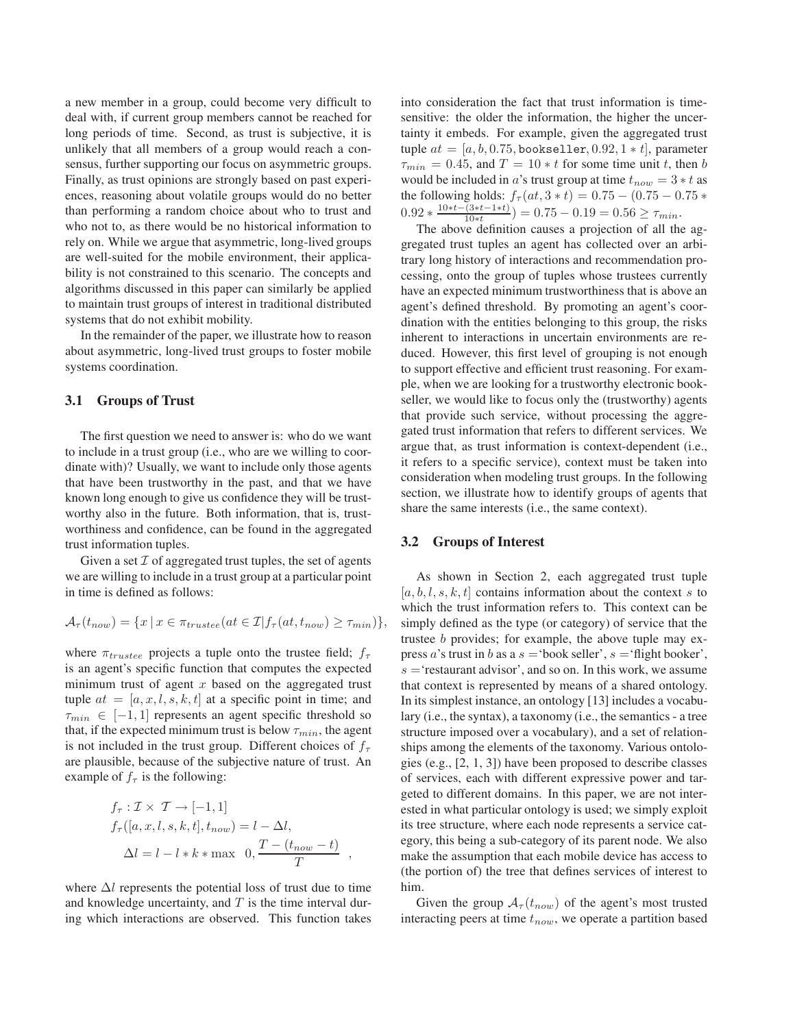a new member in a group, could become very difficult to deal with, if current group members cannot be reached for long periods of time. Second, as trust is subjective, it is unlikely that all members of a group would reach a consensus, further supporting our focus on asymmetric groups. Finally, as trust opinions are strongly based on past experiences, reasoning about volatile groups would do no better than performing a random choice about who to trust and who not to, as there would be no historical information to rely on. While we argue that asymmetric, long-lived groups are well-suited for the mobile environment, their applicability is not constrained to this scenario. The concepts and algorithms discussed in this paper can similarly be applied to maintain trust groups of interest in traditional distributed systems that do not exhibit mobility.

In the remainder of the paper, we illustrate how to reason about asymmetric, long-lived trust groups to foster mobile systems coordination.

#### **3.1 Groups of Trust**

The first question we need to answer is: who do we want to include in a trust group (i.e., who are we willing to coordinate with)? Usually, we want to include only those agents that have been trustworthy in the past, and that we have known long enough to give us confidence they will be trustworthy also in the future. Both information, that is, trustworthiness and confidence, can be found in the aggregated trust information tuples.

Given a set  $\mathcal I$  of aggregated trust tuples, the set of agents we are willing to include in a trust group at a particular point in time is defined as follows:

$$
\mathcal{A}_{\tau}(t_{now}) = \{x \mid x \in \pi_{trustee}(at \in \mathcal{I}|f_{\tau}(at, t_{now}) \ge \tau_{min})\},
$$

where  $\pi_{trustee}$  projects a tuple onto the trustee field;  $f_{\tau}$ is an agent's specific function that computes the expected minimum trust of agent  $x$  based on the aggregated trust tuple  $at = [a, x, l, s, k, t]$  at a specific point in time; and  $\tau_{min} \in [-1, 1]$  represents an agent specific threshold so that, if the expected minimum trust is below  $\tau_{min}$ , the agent is not included in the trust group. Different choices of  $f_{\tau}$ are plausible, because of the subjective nature of trust. An example of  $f_\tau$  is the following:

$$
f_{\tau}: \mathcal{I} \times \mathcal{T} \to [-1, 1]
$$
  
\n
$$
f_{\tau}([a, x, l, s, k, t], t_{now}) = l - \Delta l,
$$
  
\n
$$
\Delta l = l - l * k * \max \quad 0, \frac{T - (t_{now} - t)}{T},
$$

where  $\Delta l$  represents the potential loss of trust due to time and knowledge uncertainty, and  $T$  is the time interval during which interactions are observed. This function takes into consideration the fact that trust information is timesensitive: the older the information, the higher the uncertainty it embeds. For example, given the aggregated trust tuple  $at = [a, b, 0.75,$  bookseller,  $0.92, 1 * t$ , parameter  $\tau_{min} = 0.45$ , and  $T = 10 * t$  for some time unit t, then b would be included in a's trust group at time  $t_{now} = 3 * t$  as the following holds:  $f_{\tau}(at, 3 * t) = 0.75 - (0.75 - 0.75 *$  $0.92 * \frac{10 * t - (3 * t - 1 * t)}{10 * t} = 0.75 - 0.19 = 0.56 \ge \tau_{min}$ 

The above definition causes a projection of all the aggregated trust tuples an agent has collected over an arbitrary long history of interactions and recommendation processing, onto the group of tuples whose trustees currently have an expected minimum trustworthiness that is above an agent's defined threshold. By promoting an agent's coordination with the entities belonging to this group, the risks inherent to interactions in uncertain environments are reduced. However, this first level of grouping is not enough to support effective and efficient trust reasoning. For example, when we are looking for a trustworthy electronic bookseller, we would like to focus only the (trustworthy) agents that provide such service, without processing the aggregated trust information that refers to different services. We argue that, as trust information is context-dependent (i.e., it refers to a specific service), context must be taken into consideration when modeling trust groups. In the following section, we illustrate how to identify groups of agents that share the same interests (i.e., the same context).

#### **3.2 Groups of Interest**

As shown in Section 2, each aggregated trust tuple  $[a, b, l, s, k, t]$  contains information about the context s to which the trust information refers to. This context can be simply defined as the type (or category) of service that the trustee b provides; for example, the above tuple may express a's trust in b as a  $s = 'book seller', s = 'flightbooker',$  $s = 'r$ estaurant advisor', and so on. In this work, we assume that context is represented by means of a shared ontology. In its simplest instance, an ontology [13] includes a vocabulary (i.e., the syntax), a taxonomy (i.e., the semantics - a tree structure imposed over a vocabulary), and a set of relationships among the elements of the taxonomy. Various ontologies (e.g., [2, 1, 3]) have been proposed to describe classes of services, each with different expressive power and targeted to different domains. In this paper, we are not interested in what particular ontology is used; we simply exploit its tree structure, where each node represents a service category, this being a sub-category of its parent node. We also make the assumption that each mobile device has access to (the portion of) the tree that defines services of interest to him.

Given the group  $A_\tau(t_{now})$  of the agent's most trusted interacting peers at time  $t_{now}$ , we operate a partition based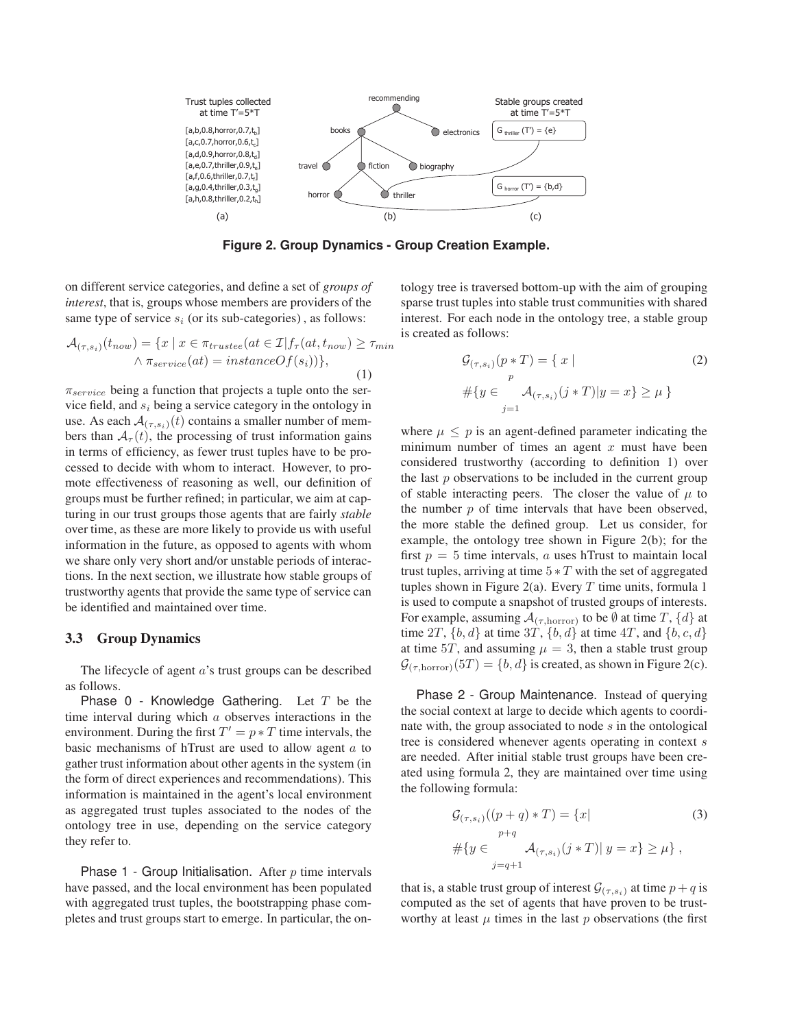

**Figure 2. Group Dynamics - Group Creation Example.**

on different service categories, and define a set of *groups of interest*, that is, groups whose members are providers of the same type of service  $s_i$  (or its sub-categories), as follows:

$$
\mathcal{A}_{(\tau,s_i)}(t_{now}) = \{x \mid x \in \pi_{trustee}(at \in \mathcal{I}|f_{\tau}(at, t_{now}) \ge \tau_{min} \land \pi_{service}(at) = instanceOf(s_i))\},\tag{1}
$$

 $\pi_{service}$  being a function that projects a tuple onto the service field, and  $s_i$  being a service category in the ontology in use. As each  $\mathcal{A}_{(\tau,s_i)}(t)$  contains a smaller number of members than  $A_{\tau}(t)$ , the processing of trust information gains in terms of efficiency, as fewer trust tuples have to be processed to decide with whom to interact. However, to promote effectiveness of reasoning as well, our definition of groups must be further refined; in particular, we aim at capturing in our trust groups those agents that are fairly *stable* over time, as these are more likely to provide us with useful information in the future, as opposed to agents with whom we share only very short and/or unstable periods of interactions. In the next section, we illustrate how stable groups of trustworthy agents that provide the same type of service can be identified and maintained over time.

#### **3.3 Group Dynamics**

The lifecycle of agent  $a$ 's trust groups can be described as follows.

Phase  $0$  - Knowledge Gathering. Let  $T$  be the time interval during which  $a$  observes interactions in the environment. During the first  $T' = p * T$  time intervals, the basic mechanisms of hTrust are used to allow agent  $a$  to gather trust information about other agents in the system (in the form of direct experiences and recommendations). This information is maintained in the agent's local environment as aggregated trust tuples associated to the nodes of the ontology tree in use, depending on the service category they refer to.

Phase 1 - Group Initialisation. After  $p$  time intervals have passed, and the local environment has been populated with aggregated trust tuples, the bootstrapping phase completes and trust groups start to emerge. In particular, the ontology tree is traversed bottom-up with the aim of grouping sparse trust tuples into stable trust communities with shared interest. For each node in the ontology tree, a stable group is created as follows:

$$
\mathcal{G}_{(\tau,s_i)}(p*T) = \{ x \mid \tau \leq p \leq p \}
$$
\n
$$
\# \{ y \in \mathcal{A}_{(\tau,s_i)}(j*T) | y = x \} \geq \mu \}
$$
\n
$$
j=1
$$
\n
$$
(2)
$$

where  $\mu \leq p$  is an agent-defined parameter indicating the minimum number of times an agent  $x$  must have been considered trustworthy (according to definition 1) over the last  $p$  observations to be included in the current group of stable interacting peers. The closer the value of  $\mu$  to the number  $p$  of time intervals that have been observed, the more stable the defined group. Let us consider, for example, the ontology tree shown in Figure 2(b); for the first  $p = 5$  time intervals, a uses hTrust to maintain local trust tuples, arriving at time  $5 \times T$  with the set of aggregated tuples shown in Figure 2(a). Every  $T$  time units, formula 1 is used to compute a snapshot of trusted groups of interests. For example, assuming  $A_{(\tau,\text{horror})}$  to be Ø at time T,  $\{d\}$  at time 2T,  $\{b, d\}$  at time 3T,  $\{b, d\}$  at time 4T, and  $\{b, c, d\}$ at time 5T, and assuming  $\mu = 3$ , then a stable trust group  $\mathcal{G}_{(\tau,\text{horror})}(5T) = \{b, d\}$  is created, as shown in Figure 2(c).

Phase 2 - Group Maintenance. Instead of querying the social context at large to decide which agents to coordinate with, the group associated to node s in the ontological tree is considered whenever agents operating in context s are needed. After initial stable trust groups have been created using formula 2, they are maintained over time using the following formula:

$$
\mathcal{G}_{(\tau,s_i)}((p+q) * T) = \{x \mid \tau+q \text{ for } j \neq j \text{ with } \tau+q \text{ for } j=q+1 \text{ for } j=q+1 \text{ for } j=q+1 \text{ for } j=q+1 \text{ for } j=q+1 \text{ for } j=q+1 \text{ for } j=q+1 \text{ for } j=q+1 \text{ for } j=q+1 \text{ for } j=q+1 \text{ for } j=q+1 \text{ for } j=q+1 \text{ for } j=q+1 \text{ for } j=q+1 \text{ for } j=q+1 \text{ for } j=q+1 \text{ for } j=q+1 \text{ for } j=q+1 \text{ for } j=q+1 \text{ for } j=q+1 \text{ for } j=q+1 \text{ for } j=q+1 \text{ for } j=q+1 \text{ for } j=q+1 \text{ for } j=q+1 \text{ for } j=q+1 \text{ for } j=q+1 \text{ for } j=q+1 \text{ for } j=q+1 \text{ for } j=q+1 \text{ for } j=q+1 \text{ for } j=q+1 \text{ for } j=q+1 \text{ for } j=q+1 \text{ for } j=q+1 \text{ for } j=q+1 \text{ for } j=q+1 \text{ for } j=q+1 \text{ for } j=q+1 \text{ for } j=q+1 \text{ for } j=q+1 \text{ for } j=q+1 \text{ for } j=q+1 \text{ for } j=q+1 \text{ for } j=q+1 \text{ for } j=q+1 \text{ for } j=q+1 \text{ for } j=q+1 \text{ for } j=q+1 \text{ for } j=q+1 \text{ for } j=q+1 \text{ for } j=q+1 \text{ for } j=q+1 \text{ for } j=q+1 \text{ for } j=q+1 \text{ for } j=q+1 \text{ for } j=q+1 \text{ for } j=q+1 \text{ for } j=q+1 \text{ for } j=q+1 \text{ for } j=q+1 \text{ for } j=q+1 \text{ for } j=q+1 \text{ for } j=q+1 \text{ for } j=q+1 \text{ for } j=q+1 \text{ for } j=q+1 \text{ for } j=q+1 \text{ for } j=q+1 \text{ for } j=q+1 \text{ for } j=q+1 \text{ for } j=q+1 \text{ for } j=q+1 \text{ for } j=q+1 \text{ for } j=q+1 \text{ for } j=q+1 \text{ for } j=q+1 \text{ for } j=q+1 \text{ for } j=q+1 \
$$

that is, a stable trust group of interest  $\mathcal{G}_{(\tau,s_i)}$  at time  $p+q$  is computed as the set of agents that have proven to be trustworthy at least  $\mu$  times in the last  $p$  observations (the first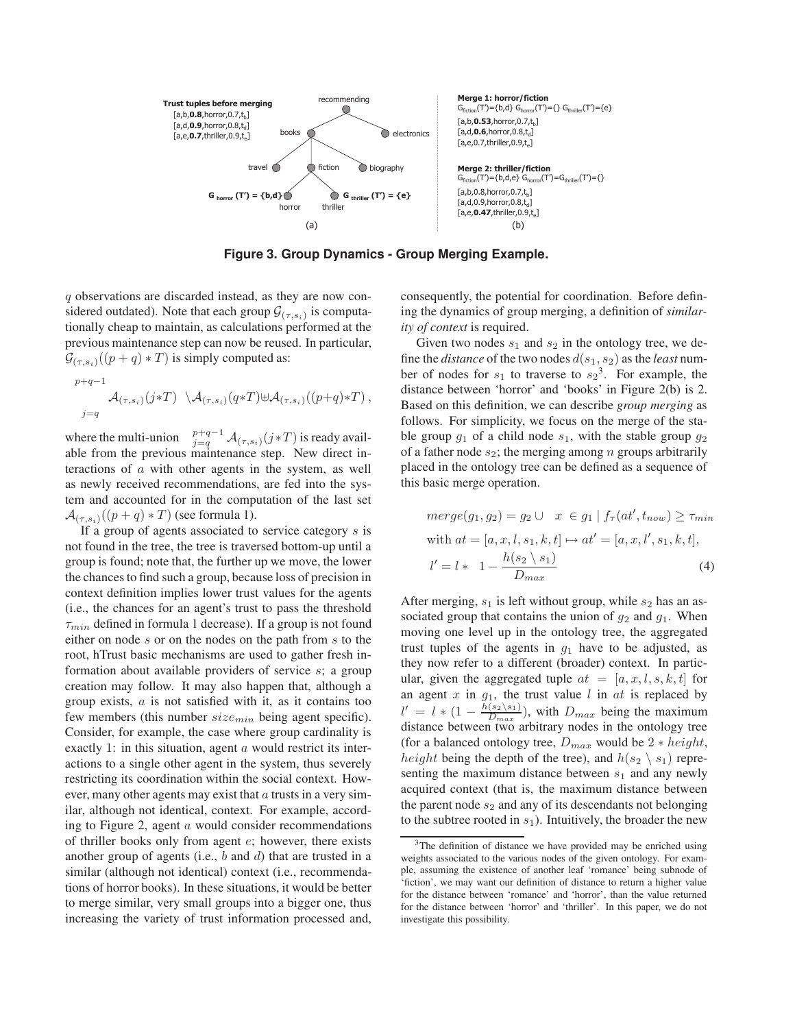

**Figure 3. Group Dynamics - Group Merging Example.**

q observations are discarded instead, as they are now considered outdated). Note that each group  $\mathcal{G}_{(\tau,s_i)}$  is computationally cheap to maintain, as calculations performed at the previous maintenance step can now be reused. In particular,  $\mathcal{G}_{(\tau,s_i)}((p+q)*T)$  is simply computed as:

$$
\begin{aligned}\n &\mu + q - 1 \\
&\mathcal{A}_{(\tau,s_i)}(j*T) \ \ \backslash \mathcal{A}_{(\tau,s_i)}(q*T) \oplus \mathcal{A}_{(\tau,s_i)}((p+q)*T)\,, \\
&\quad j=q\n \end{aligned}
$$

where the multi-union  $\int_{j=q}^{p+q-1} A_{(\tau,s_i)}(j*T)$  is ready available from the previous maintenance step. New direct interactions of a with other agents in the system, as well as newly received recommendations, are fed into the system and accounted for in the computation of the last set  $\mathcal{A}_{(\tau,s_i)}((p+q)*T)$  (see formula 1).

If a group of agents associated to service category  $s$  is not found in the tree, the tree is traversed bottom-up until a group is found; note that, the further up we move, the lower the chances to find such a group, because loss of precision in context definition implies lower trust values for the agents (i.e., the chances for an agent's trust to pass the threshold  $\tau_{min}$  defined in formula 1 decrease). If a group is not found either on node s or on the nodes on the path from s to the root, hTrust basic mechanisms are used to gather fresh information about available providers of service s; a group creation may follow. It may also happen that, although a group exists,  $a$  is not satisfied with it, as it contains too few members (this number  $size_{min}$  being agent specific). Consider, for example, the case where group cardinality is exactly 1: in this situation, agent  $a$  would restrict its interactions to a single other agent in the system, thus severely restricting its coordination within the social context. However, many other agents may exist that  $\alpha$  trusts in a very similar, although not identical, context. For example, according to Figure 2, agent  $\alpha$  would consider recommendations of thriller books only from agent  $e$ ; however, there exists another group of agents (i.e.,  $b$  and  $d$ ) that are trusted in a similar (although not identical) context (i.e., recommendations of horror books). In these situations, it would be better to merge similar, very small groups into a bigger one, thus increasing the variety of trust information processed and, consequently, the potential for coordination. Before defining the dynamics of group merging, a definition of *similarity of context* is required.

Given two nodes  $s_1$  and  $s_2$  in the ontology tree, we define the *distance* of the two nodes  $d(s_1, s_2)$  as the *least* number of nodes for  $s_1$  to traverse to  $s_2^3$ . For example, the distance between 'horror' and 'books' in Figure 2(b) is 2. Based on this definition, we can describe *group merging* as follows. For simplicity, we focus on the merge of the stable group  $q_1$  of a child node  $s_1$ , with the stable group  $q_2$ of a father node  $s_2$ ; the merging among n groups arbitrarily placed in the ontology tree can be defined as a sequence of this basic merge operation.

$$
merge(g_1, g_2) = g_2 \cup x \in g_1 | f_\tau(at', t_{now}) \ge \tau_{min}
$$
  
with  $at = [a, x, l, s_1, k, t] \mapsto at' = [a, x, l', s_1, k, t],$   

$$
l' = l * 1 - \frac{h(s_2 \setminus s_1)}{D_{max}}
$$
(4)

After merging,  $s_1$  is left without group, while  $s_2$  has an associated group that contains the union of  $g_2$  and  $g_1$ . When moving one level up in the ontology tree, the aggregated trust tuples of the agents in  $g_1$  have to be adjusted, as they now refer to a different (broader) context. In particular, given the aggregated tuple  $at = [a, x, l, s, k, t]$  for an agent x in  $g_1$ , the trust value l in at is replaced by  $l' = l * (1 - \frac{h(s_2 \backslash s_1)}{D_{max}})$ , with  $D_{max}$  being the maximum distance between two arbitrary nodes in the ontology tree (for a balanced ontology tree,  $D_{max}$  would be 2  $*$  height, *height* being the depth of the tree), and  $h(s_2 \setminus s_1)$  representing the maximum distance between  $s_1$  and any newly acquired context (that is, the maximum distance between the parent node  $s_2$  and any of its descendants not belonging to the subtree rooted in  $s_1$ ). Intuitively, the broader the new

 $3$ The definition of distance we have provided may be enriched using weights associated to the various nodes of the given ontology. For example, assuming the existence of another leaf 'romance' being subnode of 'fiction', we may want our definition of distance to return a higher value for the distance between 'romance' and 'horror', than the value returned for the distance between 'horror' and 'thriller'. In this paper, we do not investigate this possibility.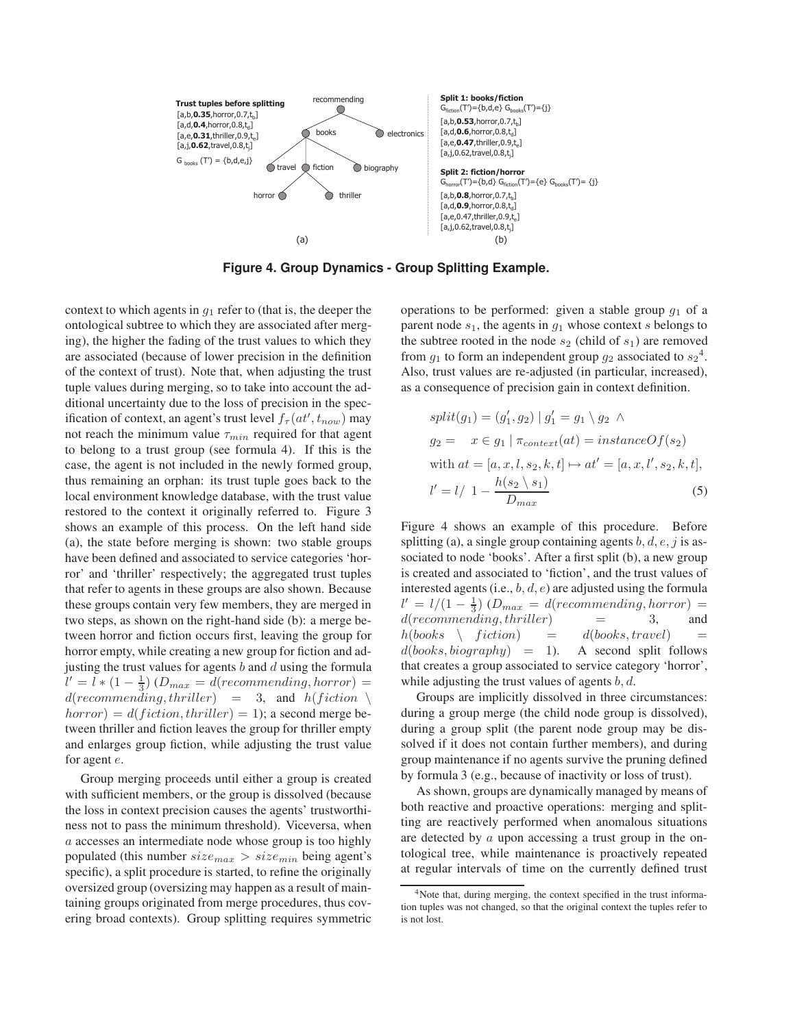

**Figure 4. Group Dynamics - Group Splitting Example.**

context to which agents in  $q_1$  refer to (that is, the deeper the ontological subtree to which they are associated after merging), the higher the fading of the trust values to which they are associated (because of lower precision in the definition of the context of trust). Note that, when adjusting the trust tuple values during merging, so to take into account the additional uncertainty due to the loss of precision in the specification of context, an agent's trust level  $f_{\tau}(at', t_{now})$  may not reach the minimum value  $\tau_{min}$  required for that agent to belong to a trust group (see formula 4). If this is the case, the agent is not included in the newly formed group, thus remaining an orphan: its trust tuple goes back to the local environment knowledge database, with the trust value restored to the context it originally referred to. Figure 3 shows an example of this process. On the left hand side (a), the state before merging is shown: two stable groups have been defined and associated to service categories 'horror' and 'thriller' respectively; the aggregated trust tuples that refer to agents in these groups are also shown. Because these groups contain very few members, they are merged in two steps, as shown on the right-hand side (b): a merge between horror and fiction occurs first, leaving the group for horror empty, while creating a new group for fiction and adjusting the trust values for agents  $b$  and  $d$  using the formula  $l' = l * (1 - \frac{1}{3}) (D_{max} = d(recommending,horror) =$  $d(recommending, thriller) = 3$ , and  $h(fiction \setminus$  $horror) = d(fiction, thriller) = 1$ ; a second merge between thriller and fiction leaves the group for thriller empty and enlarges group fiction, while adjusting the trust value for agent e.

Group merging proceeds until either a group is created with sufficient members, or the group is dissolved (because the loss in context precision causes the agents' trustworthiness not to pass the minimum threshold). Viceversa, when a accesses an intermediate node whose group is too highly populated (this number  $size_{max} > size_{min}$  being agent's specific), a split procedure is started, to refine the originally oversized group (oversizing may happen as a result of maintaining groups originated from merge procedures, thus covering broad contexts). Group splitting requires symmetric operations to be performed: given a stable group  $g_1$  of a parent node  $s_1$ , the agents in  $g_1$  whose context s belongs to the subtree rooted in the node  $s_2$  (child of  $s_1$ ) are removed from  $g_1$  to form an independent group  $g_2$  associated to  $s_2^4$ . Also, trust values are re-adjusted (in particular, increased), as a consequence of precision gain in context definition.

$$
split(g_1) = (g'_1, g_2) | g'_1 = g_1 \setminus g_2 \land
$$
  
\n
$$
g_2 = x \in g_1 | \pi_{context}(at) = instanceOf(s_2)
$$
  
\nwith  $at = [a, x, l, s_2, k, t] \mapsto at' = [a, x, l', s_2, k, t],$   
\n
$$
l' = l / 1 - \frac{h(s_2 \setminus s_1)}{D_{max}}
$$
\n(5)

Figure 4 shows an example of this procedure. Before splitting (a), a single group containing agents  $b, d, e, j$  is associated to node 'books'. After a first split (b), a new group is created and associated to 'fiction', and the trust values of interested agents (i.e.,  $b, d, e$ ) are adjusted using the formula  $l' = l/(1 - \frac{1}{3})$  ( $D_{max} = d(recommending,horror) =$  $d(recommending, thriller)$  = 3, and  $h(books \setminus fiction) = d(books, travel) =$  $d(books, biography) = 1)$ . A second split follows that creates a group associated to service category 'horror', while adjusting the trust values of agents  $b, d$ .

Groups are implicitly dissolved in three circumstances: during a group merge (the child node group is dissolved), during a group split (the parent node group may be dissolved if it does not contain further members), and during group maintenance if no agents survive the pruning defined by formula 3 (e.g., because of inactivity or loss of trust).

As shown, groups are dynamically managed by means of both reactive and proactive operations: merging and splitting are reactively performed when anomalous situations are detected by a upon accessing a trust group in the ontological tree, while maintenance is proactively repeated at regular intervals of time on the currently defined trust

<sup>&</sup>lt;sup>4</sup>Note that, during merging, the context specified in the trust information tuples was not changed, so that the original context the tuples refer to is not lost.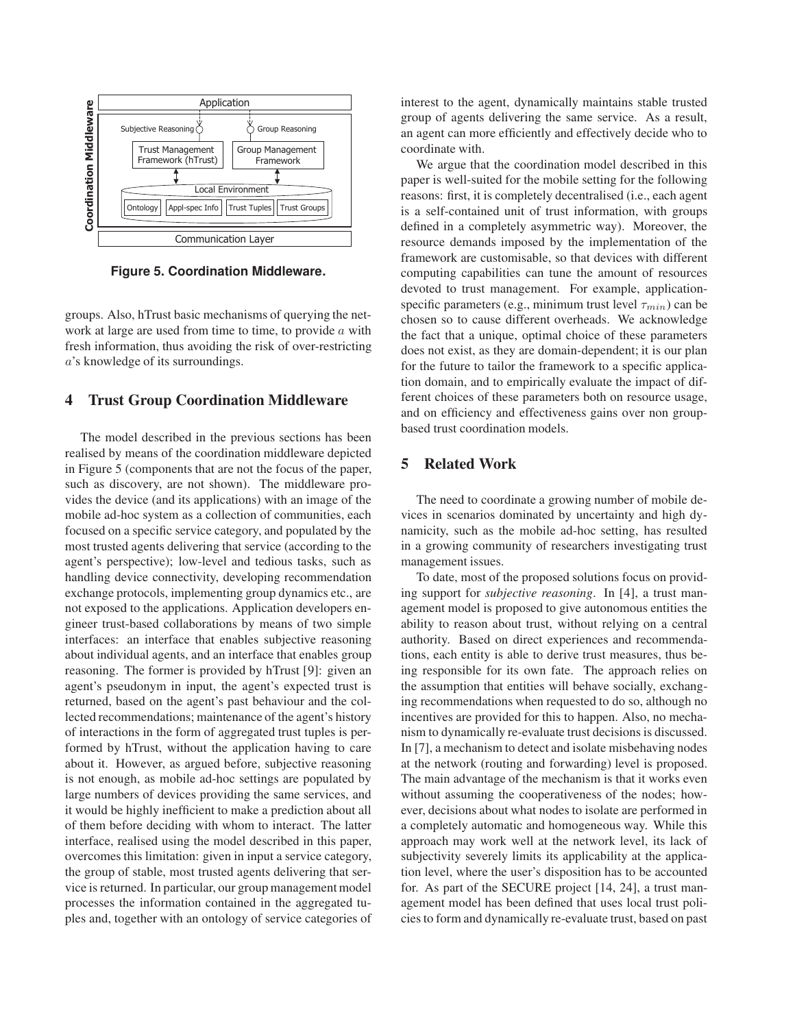

**Figure 5. Coordination Middleware.**

groups. Also, hTrust basic mechanisms of querying the network at large are used from time to time, to provide a with fresh information, thus avoiding the risk of over-restricting a's knowledge of its surroundings.

#### **4 Trust Group Coordination Middleware**

The model described in the previous sections has been realised by means of the coordination middleware depicted in Figure 5 (components that are not the focus of the paper, such as discovery, are not shown). The middleware provides the device (and its applications) with an image of the mobile ad-hoc system as a collection of communities, each focused on a specific service category, and populated by the most trusted agents delivering that service (according to the agent's perspective); low-level and tedious tasks, such as handling device connectivity, developing recommendation exchange protocols, implementing group dynamics etc., are not exposed to the applications. Application developers engineer trust-based collaborations by means of two simple interfaces: an interface that enables subjective reasoning about individual agents, and an interface that enables group reasoning. The former is provided by hTrust [9]: given an agent's pseudonym in input, the agent's expected trust is returned, based on the agent's past behaviour and the collected recommendations; maintenance of the agent's history of interactions in the form of aggregated trust tuples is performed by hTrust, without the application having to care about it. However, as argued before, subjective reasoning is not enough, as mobile ad-hoc settings are populated by large numbers of devices providing the same services, and it would be highly inefficient to make a prediction about all of them before deciding with whom to interact. The latter interface, realised using the model described in this paper, overcomes this limitation: given in input a service category, the group of stable, most trusted agents delivering that service is returned. In particular, our group management model processes the information contained in the aggregated tuples and, together with an ontology of service categories of interest to the agent, dynamically maintains stable trusted group of agents delivering the same service. As a result, an agent can more efficiently and effectively decide who to coordinate with.

We argue that the coordination model described in this paper is well-suited for the mobile setting for the following reasons: first, it is completely decentralised (i.e., each agent is a self-contained unit of trust information, with groups defined in a completely asymmetric way). Moreover, the resource demands imposed by the implementation of the framework are customisable, so that devices with different computing capabilities can tune the amount of resources devoted to trust management. For example, applicationspecific parameters (e.g., minimum trust level  $\tau_{min}$ ) can be chosen so to cause different overheads. We acknowledge the fact that a unique, optimal choice of these parameters does not exist, as they are domain-dependent; it is our plan for the future to tailor the framework to a specific application domain, and to empirically evaluate the impact of different choices of these parameters both on resource usage, and on efficiency and effectiveness gains over non groupbased trust coordination models.

# **5 Related Work**

The need to coordinate a growing number of mobile devices in scenarios dominated by uncertainty and high dynamicity, such as the mobile ad-hoc setting, has resulted in a growing community of researchers investigating trust management issues.

To date, most of the proposed solutions focus on providing support for *subjective reasoning*. In [4], a trust management model is proposed to give autonomous entities the ability to reason about trust, without relying on a central authority. Based on direct experiences and recommendations, each entity is able to derive trust measures, thus being responsible for its own fate. The approach relies on the assumption that entities will behave socially, exchanging recommendations when requested to do so, although no incentives are provided for this to happen. Also, no mechanism to dynamically re-evaluate trust decisions is discussed. In [7], a mechanism to detect and isolate misbehaving nodes at the network (routing and forwarding) level is proposed. The main advantage of the mechanism is that it works even without assuming the cooperativeness of the nodes; however, decisions about what nodes to isolate are performed in a completely automatic and homogeneous way. While this approach may work well at the network level, its lack of subjectivity severely limits its applicability at the application level, where the user's disposition has to be accounted for. As part of the SECURE project [14, 24], a trust management model has been defined that uses local trust policies to form and dynamically re-evaluate trust, based on past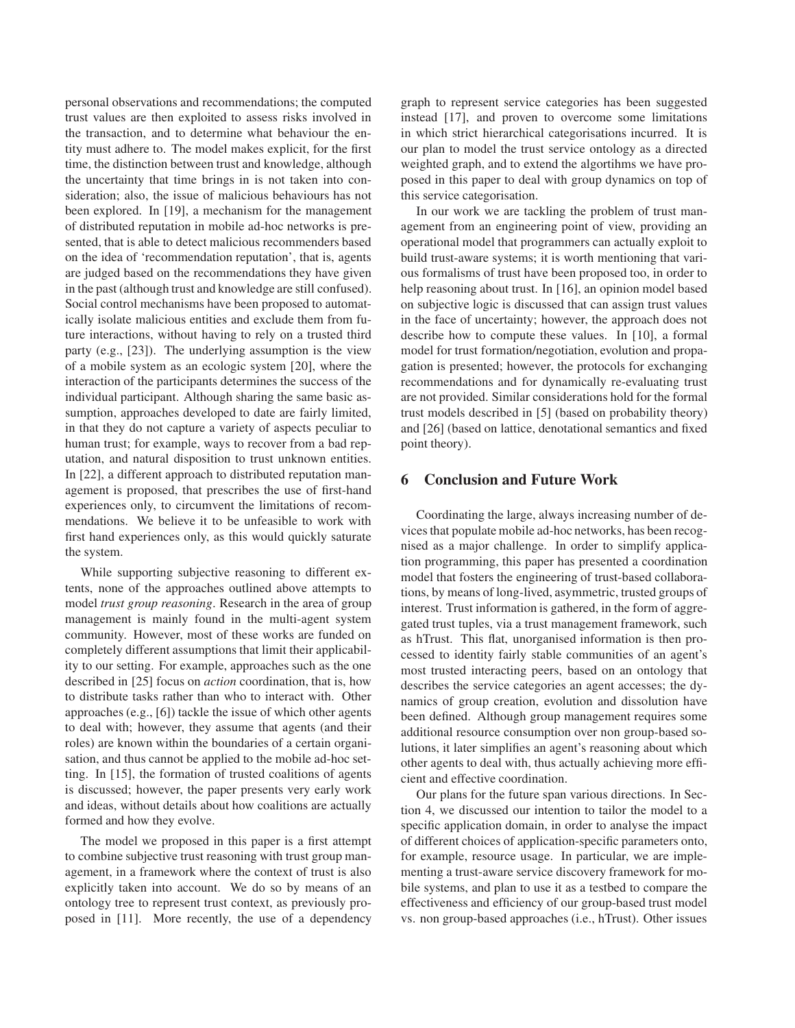personal observations and recommendations; the computed trust values are then exploited to assess risks involved in the transaction, and to determine what behaviour the entity must adhere to. The model makes explicit, for the first time, the distinction between trust and knowledge, although the uncertainty that time brings in is not taken into consideration; also, the issue of malicious behaviours has not been explored. In [19], a mechanism for the management of distributed reputation in mobile ad-hoc networks is presented, that is able to detect malicious recommenders based on the idea of 'recommendation reputation', that is, agents are judged based on the recommendations they have given in the past (although trust and knowledge are still confused). Social control mechanisms have been proposed to automatically isolate malicious entities and exclude them from future interactions, without having to rely on a trusted third party (e.g., [23]). The underlying assumption is the view of a mobile system as an ecologic system [20], where the interaction of the participants determines the success of the individual participant. Although sharing the same basic assumption, approaches developed to date are fairly limited, in that they do not capture a variety of aspects peculiar to human trust; for example, ways to recover from a bad reputation, and natural disposition to trust unknown entities. In [22], a different approach to distributed reputation management is proposed, that prescribes the use of first-hand experiences only, to circumvent the limitations of recommendations. We believe it to be unfeasible to work with first hand experiences only, as this would quickly saturate the system.

While supporting subjective reasoning to different extents, none of the approaches outlined above attempts to model *trust group reasoning*. Research in the area of group management is mainly found in the multi-agent system community. However, most of these works are funded on completely different assumptions that limit their applicability to our setting. For example, approaches such as the one described in [25] focus on *action* coordination, that is, how to distribute tasks rather than who to interact with. Other approaches (e.g., [6]) tackle the issue of which other agents to deal with; however, they assume that agents (and their roles) are known within the boundaries of a certain organisation, and thus cannot be applied to the mobile ad-hoc setting. In [15], the formation of trusted coalitions of agents is discussed; however, the paper presents very early work and ideas, without details about how coalitions are actually formed and how they evolve.

The model we proposed in this paper is a first attempt to combine subjective trust reasoning with trust group management, in a framework where the context of trust is also explicitly taken into account. We do so by means of an ontology tree to represent trust context, as previously proposed in [11]. More recently, the use of a dependency graph to represent service categories has been suggested instead [17], and proven to overcome some limitations in which strict hierarchical categorisations incurred. It is our plan to model the trust service ontology as a directed weighted graph, and to extend the algortihms we have proposed in this paper to deal with group dynamics on top of this service categorisation.

In our work we are tackling the problem of trust management from an engineering point of view, providing an operational model that programmers can actually exploit to build trust-aware systems; it is worth mentioning that various formalisms of trust have been proposed too, in order to help reasoning about trust. In [16], an opinion model based on subjective logic is discussed that can assign trust values in the face of uncertainty; however, the approach does not describe how to compute these values. In [10], a formal model for trust formation/negotiation, evolution and propagation is presented; however, the protocols for exchanging recommendations and for dynamically re-evaluating trust are not provided. Similar considerations hold for the formal trust models described in [5] (based on probability theory) and [26] (based on lattice, denotational semantics and fixed point theory).

#### **6 Conclusion and Future Work**

Coordinating the large, always increasing number of devices that populate mobile ad-hoc networks, has been recognised as a major challenge. In order to simplify application programming, this paper has presented a coordination model that fosters the engineering of trust-based collaborations, by means of long-lived, asymmetric, trusted groups of interest. Trust information is gathered, in the form of aggregated trust tuples, via a trust management framework, such as hTrust. This flat, unorganised information is then processed to identity fairly stable communities of an agent's most trusted interacting peers, based on an ontology that describes the service categories an agent accesses; the dynamics of group creation, evolution and dissolution have been defined. Although group management requires some additional resource consumption over non group-based solutions, it later simplifies an agent's reasoning about which other agents to deal with, thus actually achieving more efficient and effective coordination.

Our plans for the future span various directions. In Section 4, we discussed our intention to tailor the model to a specific application domain, in order to analyse the impact of different choices of application-specific parameters onto, for example, resource usage. In particular, we are implementing a trust-aware service discovery framework for mobile systems, and plan to use it as a testbed to compare the effectiveness and efficiency of our group-based trust model vs. non group-based approaches (i.e., hTrust). Other issues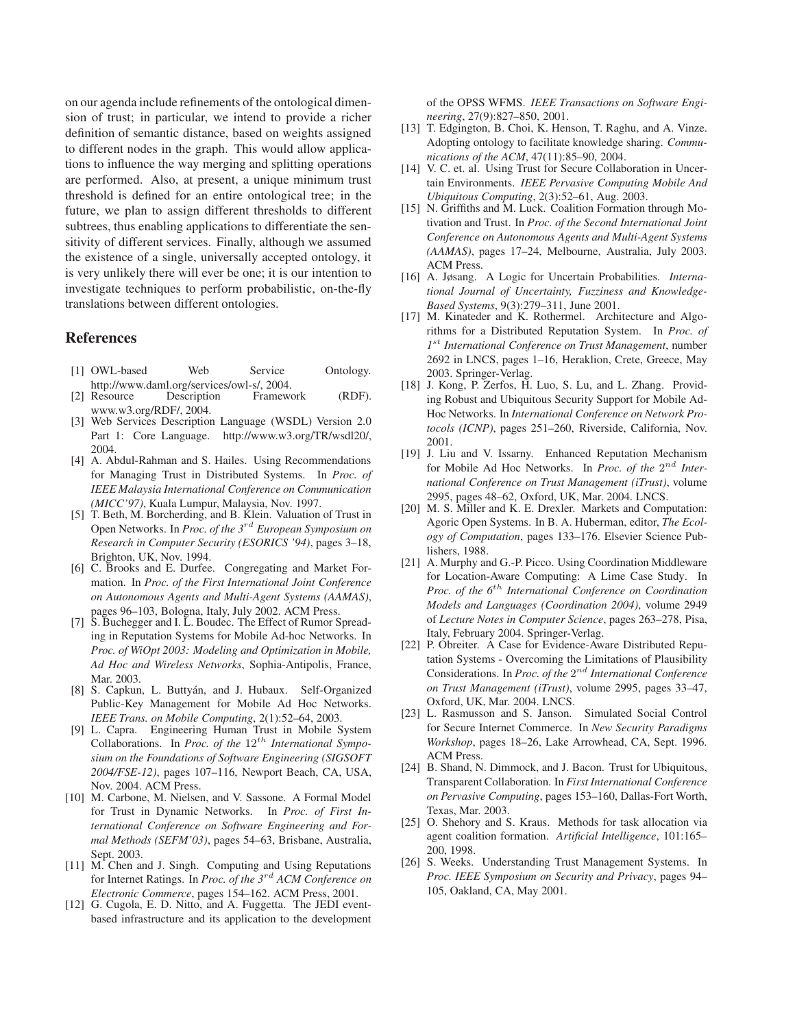on our agenda include refinements of the ontological dimension of trust; in particular, we intend to provide a richer definition of semantic distance, based on weights assigned to different nodes in the graph. This would allow applications to influence the way merging and splitting operations are performed. Also, at present, a unique minimum trust threshold is defined for an entire ontological tree; in the future, we plan to assign different thresholds to different subtrees, thus enabling applications to differentiate the sensitivity of different services. Finally, although we assumed the existence of a single, universally accepted ontology, it is very unlikely there will ever be one; it is our intention to investigate techniques to perform probabilistic, on-the-fly translations between different ontologies.

#### **References**

- [1] OWL-based Web Service Ontology. http://www.daml.org/services/owl-s/, 2004.<br>Resource Description Framework
- [2] Resource Description Framework (RDF). www.w3.org/RDF/, 2004.
- [3] Web Services Description Language (WSDL) Version 2.0 Part 1: Core Language. http://www.w3.org/TR/wsdl20/, 2004.
- [4] A. Abdul-Rahman and S. Hailes. Using Recommendations for Managing Trust in Distributed Systems. In *Proc. of IEEE Malaysia International Conference on Communication (MICC'97)*, Kuala Lumpur, Malaysia, Nov. 1997.
- [5] T. Beth, M. Borcherding, and B. Klein. Valuation of Trust in Open Networks. In *Proc. of the 3*rd *European Symposium on Research in Computer Security (ESORICS '94)*, pages 3–18, Brighton, UK, Nov. 1994.
- [6] C. Brooks and E. Durfee. Congregating and Market Formation. In *Proc. of the First International Joint Conference on Autonomous Agents and Multi-Agent Systems (AAMAS)*, pages 96–103, Bologna, Italy, July 2002. ACM Press.
- [7] S. Buchegger and I. L. Boudec. The Effect of Rumor Spreading in Reputation Systems for Mobile Ad-hoc Networks. In *Proc. of WiOpt 2003: Modeling and Optimization in Mobile, Ad Hoc and Wireless Networks*, Sophia-Antipolis, France, Mar. 2003.
- [8] S. Capkun, L. Buttyán, and J. Hubaux. Self-Organized Public-Key Management for Mobile Ad Hoc Networks. *IEEE Trans. on Mobile Computing*, 2(1):52–64, 2003.
- [9] L. Capra. Engineering Human Trust in Mobile System Collaborations. In *Proc. of the*  $12^{th}$  *International Symposium on the Foundations of Software Engineering (SIGSOFT 2004/FSE-12)*, pages 107–116, Newport Beach, CA, USA, Nov. 2004. ACM Press.
- [10] M. Carbone, M. Nielsen, and V. Sassone. A Formal Model for Trust in Dynamic Networks. In *Proc. of First International Conference on Software Engineering and Formal Methods (SEFM'03)*, pages 54–63, Brisbane, Australia, Sept. 2003.
- [11] M. Chen and J. Singh. Computing and Using Reputations for Internet Ratings. In *Proc. of the 3*rd *ACM Conference on Electronic Commerce*, pages 154–162. ACM Press, 2001.
- [12] G. Cugola, E. D. Nitto, and A. Fuggetta. The JEDI eventbased infrastructure and its application to the development

of the OPSS WFMS. *IEEE Transactions on Software Engineering*, 27(9):827–850, 2001.

- [13] T. Edgington, B. Choi, K. Henson, T. Raghu, and A. Vinze. Adopting ontology to facilitate knowledge sharing. *Communications of the ACM*, 47(11):85–90, 2004.
- [14] V. C. et. al. Using Trust for Secure Collaboration in Uncertain Environments. *IEEE Pervasive Computing Mobile And Ubiquitous Computing*, 2(3):52–61, Aug. 2003.
- [15] N. Griffiths and M. Luck. Coalition Formation through Motivation and Trust. In *Proc. of the Second International Joint Conference on Autonomous Agents and Multi-Agent Systems (AAMAS)*, pages 17–24, Melbourne, Australia, July 2003. ACM Press.
- [16] A. Jøsang. A Logic for Uncertain Probabilities. *International Journal of Uncertainty, Fuzziness and Knowledge-Based Systems*, 9(3):279–311, June 2001.
- [17] M. Kinateder and K. Rothermel. Architecture and Algorithms for a Distributed Reputation System. In *Proc. of 1*st *International Conference on Trust Management*, number 2692 in LNCS, pages 1–16, Heraklion, Crete, Greece, May 2003. Springer-Verlag.
- [18] J. Kong, P. Zerfos, H. Luo, S. Lu, and L. Zhang. Providing Robust and Ubiquitous Security Support for Mobile Ad-Hoc Networks. In *International Conference on Network Protocols (ICNP)*, pages 251–260, Riverside, California, Nov. 2001.
- [19] J. Liu and V. Issarny. Enhanced Reputation Mechanism for Mobile Ad Hoc Networks. In *Proc. of the*  $2^{nd}$  *International Conference on Trust Management (iTrust)*, volume 2995, pages 48–62, Oxford, UK, Mar. 2004. LNCS.
- [20] M. S. Miller and K. E. Drexler. Markets and Computation: Agoric Open Systems. In B. A. Huberman, editor, *The Ecology of Computation*, pages 133–176. Elsevier Science Publishers, 1988.
- [21] A. Murphy and G.-P. Picco. Using Coordination Middleware for Location-Aware Computing: A Lime Case Study. In *Proc. of the 6*th *International Conference on Coordination Models and Languages (Coordination 2004)*, volume 2949 of *Lecture Notes in Computer Science*, pages 263–278, Pisa, Italy, February 2004. Springer-Verlag.
- [22] P. Obreiter. A Case for Evidence-Aware Distributed Reputation Systems - Overcoming the Limitations of Plausibility Considerations. In *Proc. of the*  $2^{nd}$  *International Conference on Trust Management (iTrust)*, volume 2995, pages 33–47, Oxford, UK, Mar. 2004. LNCS.
- [23] L. Rasmusson and S. Janson. Simulated Social Control for Secure Internet Commerce. In *New Security Paradigms Workshop*, pages 18–26, Lake Arrowhead, CA, Sept. 1996. ACM Press.
- [24] B. Shand, N. Dimmock, and J. Bacon. Trust for Ubiquitous, Transparent Collaboration. In *First International Conference on Pervasive Computing*, pages 153–160, Dallas-Fort Worth, Texas, Mar. 2003.
- [25] O. Shehory and S. Kraus. Methods for task allocation via agent coalition formation. *Artificial Intelligence*, 101:165– 200, 1998.
- [26] S. Weeks. Understanding Trust Management Systems. In *Proc. IEEE Symposium on Security and Privacy*, pages 94– 105, Oakland, CA, May 2001.